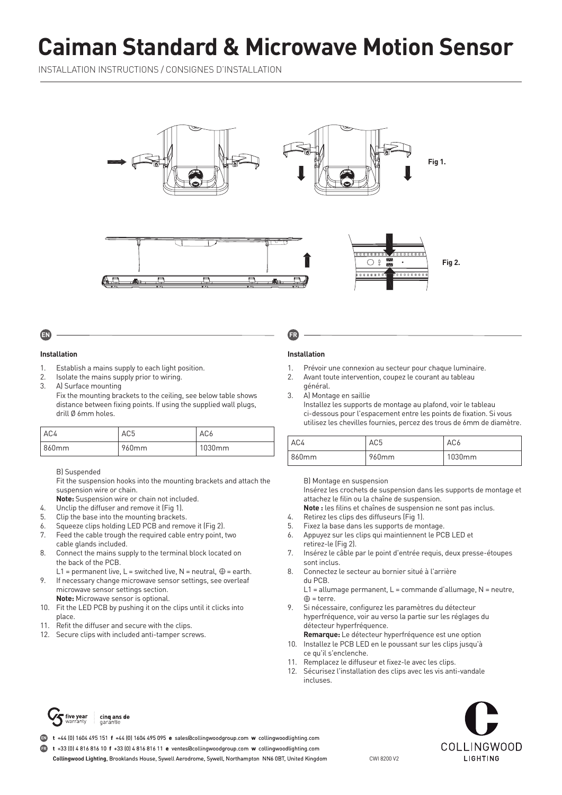# **Caiman Standard & Microwave Motion Sensor**

INSTALLATION INSTRUCTIONS / CONSIGNES D'INSTALLATION





# **Installation**

- 1. Establish a mains supply to each light position.
- 2. Isolate the mains supply prior to wiring.
- 3. A) Surface mounting Fix the mounting brackets to the ceiling, see below table shows distance between fixing points. If using the supplied wall plugs, drill Ø 6mm holes.

| AC4   | AC <sub>5</sub> | AC <sub>6</sub> |
|-------|-----------------|-----------------|
| 860mm | 960mm           | 1030mm          |

#### B) Suspended

Fit the suspension hooks into the mounting brackets and attach the suspension wire or chain.

- **Note:** Suspension wire or chain not included.
- 4. Unclip the diffuser and remove it (Fig 1).
- 5. Clip the base into the mounting brackets.
- 6. Squeeze clips holding LED PCB and remove it (Fig 2).
- 7. Feed the cable trough the required cable entry point, two cable glands included.
- 8. Connect the mains supply to the terminal block located on the back of the PCB.
- L1 = permanent live, L = switched live, N = neutral,  $\oplus$  = earth.
- 9. If necessary change microwave sensor settings, see overleaf microwave sensor settings section. **Note:** Microwave sensor is optional.
- 10. Fit the LED PCB by pushing it on the clips until it clicks into place.
- 11. Refit the diffuser and secure with the clips.
- 12. Secure clips with included anti-tamper screws.

# **Installation**

- 1. Prévoir une connexion au secteur pour chaque luminaire.
- 2. Avant toute intervention, coupez le courant au tableau général.
- 3. A) Montage en saillie Installez les supports de montage au plafond, voir le tableau ci-dessous pour l'espacement entre les points de fixation. Si vous utilisez les chevilles fournies, percez des trous de 6mm de diamètre.

| AC4   | AC5               | AC <sub>6</sub> |  |
|-------|-------------------|-----------------|--|
| 860mm | 960 <sub>mm</sub> | 1030mm          |  |

#### B) Montage en suspension

Insérez les crochets de suspension dans les supports de montage et attachez le filin ou la chaîne de suspension.

**Note :** les filins et chaînes de suspension ne sont pas inclus.

- 4. Retirez les clips des diffuseurs (Fig 1).
- 5. Fixez la base dans les supports de montage.
- 6. Appuyez sur les clips qui maintiennent le PCB LED et retirez-le (Fig 2).
- 7. Insérez le câble par le point d'entrée requis, deux presse-étoupes sont inclus.
- 8. Connectez le secteur au bornier situé à l'arrière du PCB.
	- L1 = allumage permanent, L = commande d'allumage, N = neutre,  $\oplus$  = terre.
- 9. Si nécessaire, configurez les paramètres du détecteur hyperfréquence, voir au verso la partie sur les réglages du détecteur hyperfréquence.
- **Remarque:** Le détecteur hyperfréquence est une option 10. Installez le PCB LED en le poussant sur les clips jusqu'à ce qu'il s'enclenche.
- 11. Remplacez le diffuseur et fixez-le avec les clips.
- 12. Sécurisez l'installation des clips avec les vis anti-vandale incluses.



**t** +44 (0) 1604 495 151 **f** +44 (0) 1604 495 095 **e** sales@collingwoodgroup.com **w** collingwoodlighting.com **EN**

**t** +33 (0) 4 816 816 10 **f** +33 (0) 4 816 816 11 **e** ventes@collingwoodgroup.com **w** collingwoodlighting.com **FR**